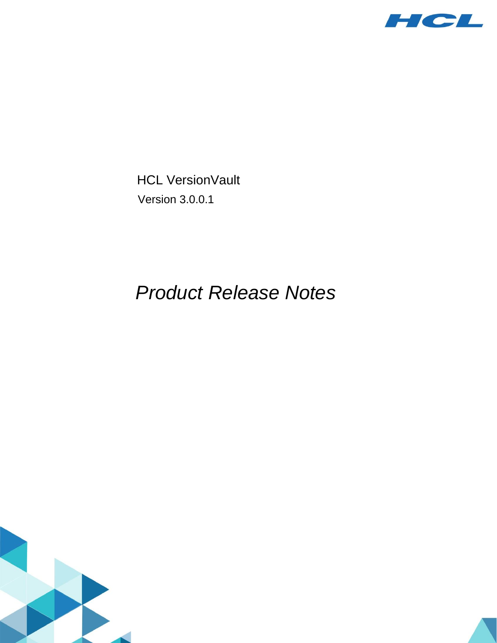

HCL VersionVault Version 3.0.0.1

# *Product Release Notes*

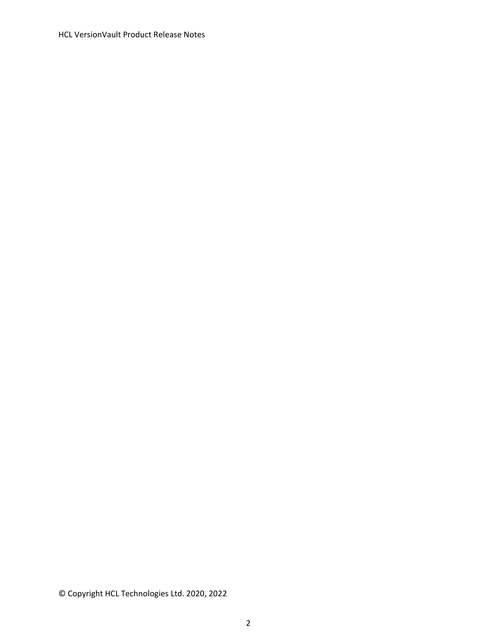HCL VersionVault Product Release Notes

© Copyright HCL Technologies Ltd. 2020, 2022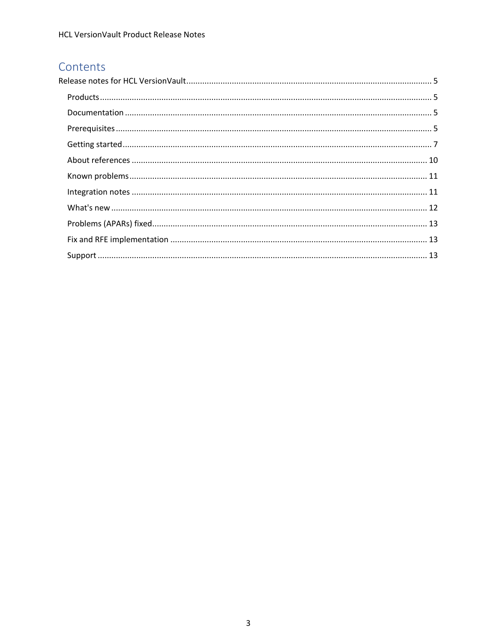# Contents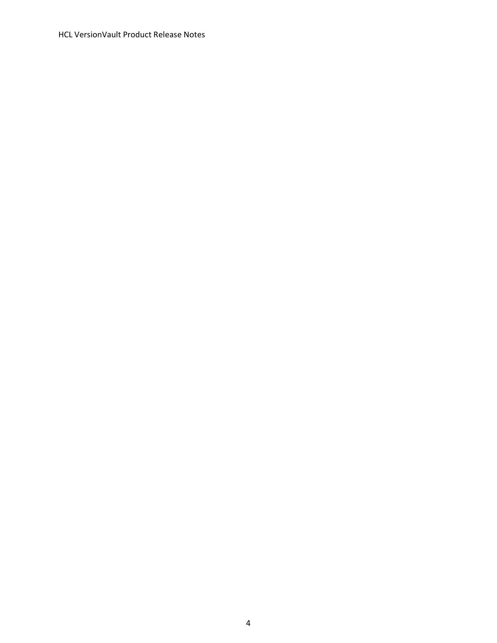HCL VersionVault Product Release Notes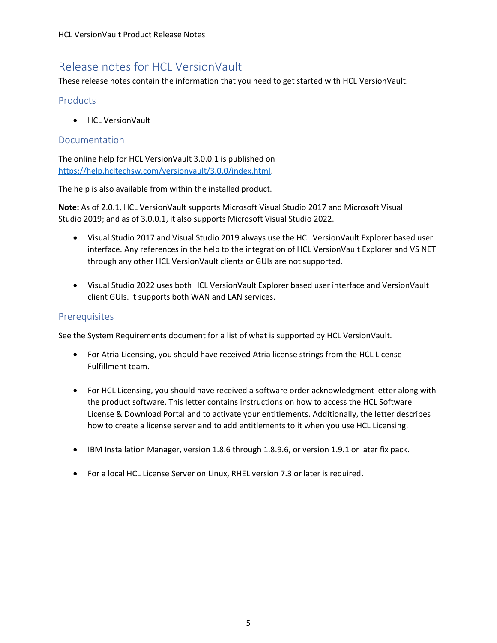# <span id="page-4-0"></span>Release notes for HCL VersionVault

These release notes contain the information that you need to get started with HCL VersionVault.

#### <span id="page-4-1"></span>**Products**

• HCL VersionVault

## <span id="page-4-2"></span>Documentation

The online help for HCL VersionVault 3.0.0.1 is published on [https://help.hcltechsw.com/versionvault/3.0.0/index.html.](https://help.hcltechsw.com/versionvault/3.0.0/index.html)

The help is also available from within the installed product.

**Note:** As of 2.0.1, HCL VersionVault supports Microsoft Visual Studio 2017 and Microsoft Visual Studio 2019; and as of 3.0.0.1, it also supports Microsoft Visual Studio 2022.

- Visual Studio 2017 and Visual Studio 2019 always use the HCL VersionVault Explorer based user interface. Any references in the help to the integration of HCL VersionVault Explorer and VS NET through any other HCL VersionVault clients or GUIs are not supported.
- Visual Studio 2022 uses both HCL VersionVault Explorer based user interface and VersionVault client GUIs. It supports both WAN and LAN services.

## <span id="page-4-3"></span>Prerequisites

See the System Requirements document for a list of what is supported by HCL VersionVault.

- For Atria Licensing, you should have received Atria license strings from the HCL License Fulfillment team.
- For HCL Licensing, you should have received a software order acknowledgment letter along with the product software. This letter contains instructions on how to access the HCL Software License & Download Portal and to activate your entitlements. Additionally, the letter describes how to create a license server and to add entitlements to it when you use HCL Licensing.
- IBM Installation Manager, version 1.8.6 through 1.8.9.6, or version 1.9.1 or later fix pack.
- For a local HCL License Server on Linux, RHEL version 7.3 or later is required.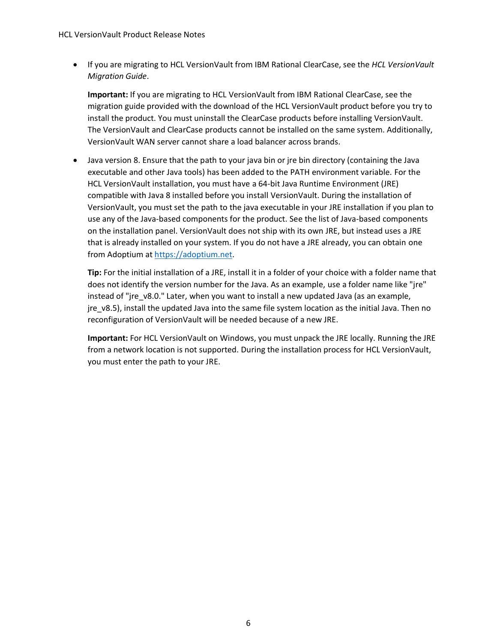• If you are migrating to HCL VersionVault from IBM Rational ClearCase, see the *HCL VersionVault Migration Guide*.

**Important:** If you are migrating to HCL VersionVault from IBM Rational ClearCase, see the migration guide provided with the download of the HCL VersionVault product before you try to install the product. You must uninstall the ClearCase products before installing VersionVault. The VersionVault and ClearCase products cannot be installed on the same system. Additionally, VersionVault WAN server cannot share a load balancer across brands.

• Java version 8. Ensure that the path to your java bin or jre bin directory (containing the Java executable and other Java tools) has been added to the PATH environment variable. For the HCL VersionVault installation, you must have a 64-bit Java Runtime Environment (JRE) compatible with Java 8 installed before you install VersionVault. During the installation of VersionVault, you must set the path to the java executable in your JRE installation if you plan to use any of the Java-based components for the product. See the list of Java-based components on the installation panel. VersionVault does not ship with its own JRE, but instead uses a JRE that is already installed on your system. If you do not have a JRE already, you can obtain one from Adoptium a[t https://adoptium.net.](https://adoptium.net/)

**Tip:** For the initial installation of a JRE, install it in a folder of your choice with a folder name that does not identify the version number for the Java. As an example, use a folder name like "jre" instead of "jre\_v8.0." Later, when you want to install a new updated Java (as an example, jre\_v8.5), install the updated Java into the same file system location as the initial Java. Then no reconfiguration of VersionVault will be needed because of a new JRE.

**Important:** For HCL VersionVault on Windows, you must unpack the JRE locally. Running the JRE from a network location is not supported. During the installation process for HCL VersionVault, you must enter the path to your JRE.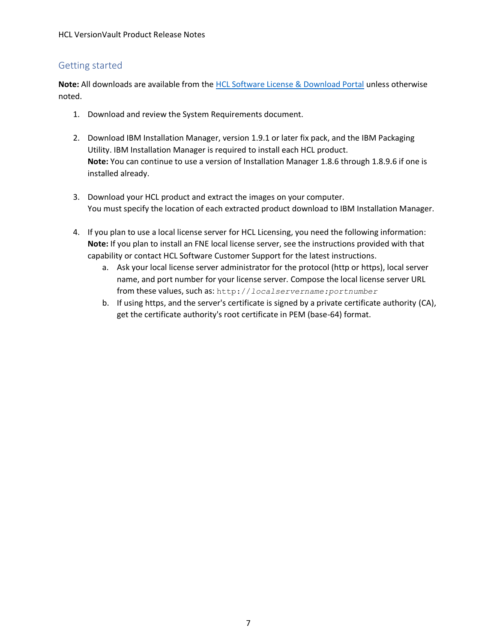# <span id="page-6-0"></span>Getting started

**Note:** All downloads are available from the [HCL Software License & Download Portal](https://hclsoftware.flexnetoperations.com/flexnet/operationsportal/logon.do) unless otherwise noted.

- 1. Download and review the System Requirements document.
- 2. Download IBM Installation Manager, version 1.9.1 or later fix pack, and the IBM Packaging Utility. IBM Installation Manager is required to install each HCL product. **Note:** You can continue to use a version of Installation Manager 1.8.6 through 1.8.9.6 if one is installed already.
- 3. Download your HCL product and extract the images on your computer. You must specify the location of each extracted product download to IBM Installation Manager.
- 4. If you plan to use a local license server for HCL Licensing, you need the following information: **Note:** If you plan to install an FNE local license server, see the instructions provided with that capability or contact HCL Software Customer Support for the latest instructions.
	- a. Ask your local license server administrator for the protocol (http or https), local server name, and port number for your license server. Compose the local license server URL from these values, such as: http://*localservername:portnumber*
	- b. If using https, and the server's certificate is signed by a private certificate authority (CA), get the certificate authority's root certificate in PEM (base-64) format.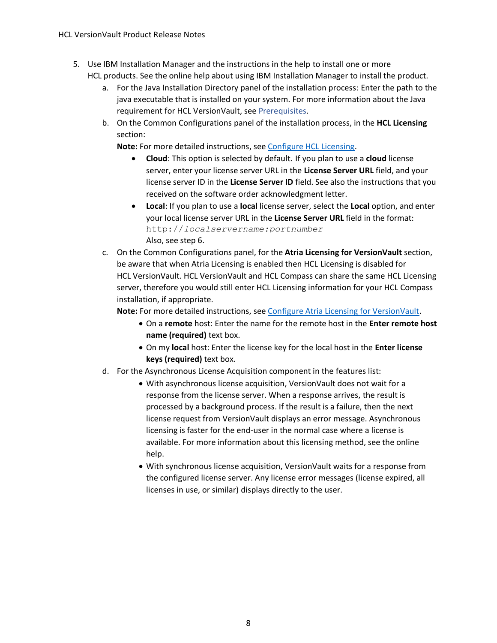- 5. Use IBM Installation Manager and the instructions in the help to install one or more HCL products. See the online help about using IBM Installation Manager to install the product.
	- a. For the Java Installation Directory panel of the installation process: Enter the path to the java executable that is installed on your system. For more information about the Java requirement for HCL VersionVault, se[e Prerequisites.](#page-4-3)
	- b. On the Common Configurations panel of the installation process, in the **HCL Licensing** section:

**Note:** For more detailed instructions, see [Configure HCL Licensing.](https://help.hcltechsw.com/versionvault/3.0.0/oxy_ex-1/com.ibm.rational.clearcase.cc_ms_install.doc/topics/c_config_hcl_lic.html)

- **Cloud**: This option is selected by default. If you plan to use a **cloud** license server, enter your license server URL in the **License Server URL** field, and your license server ID in the **License Server ID** field. See also the instructions that you received on the software order acknowledgment letter.
- **Local**: If you plan to use a **local** license server, select the **Local** option, and enter your local license server URL in the **License Server URL** field in the format: http://*localservername:portnumber* Also, see step 6.
- c. On the Common Configurations panel, for the **Atria Licensing for VersionVault** section, be aware that when Atria Licensing is enabled then HCL Licensing is disabled for HCL VersionVault. HCL VersionVault and HCL Compass can share the same HCL Licensing server, therefore you would still enter HCL Licensing information for your HCL Compass installation, if appropriate.

**Note:** For more detailed instructions, see [Configure Atria Licensing for VersionVault.](https://help.hcltechsw.com/versionvault/3.0.0/oxy_ex-1/com.ibm.rational.clearcase.cc_ms_install.doc/topics/c_config_atria_lic_hcl.html)

- On a **remote** host: Enter the name for the remote host in the **Enter remote host name (required)** text box.
- On my **local** host: Enter the license key for the local host in the **Enter license keys (required)** text box.
- d. For the Asynchronous License Acquisition component in the features list:
	- With asynchronous license acquisition, VersionVault does not wait for a response from the license server. When a response arrives, the result is processed by a background process. If the result is a failure, then the next license request from VersionVault displays an error message. Asynchronous licensing is faster for the end-user in the normal case where a license is available. For more information about this licensing method, see the online help.
	- With synchronous license acquisition, VersionVault waits for a response from the configured license server. Any license error messages (license expired, all licenses in use, or similar) displays directly to the user.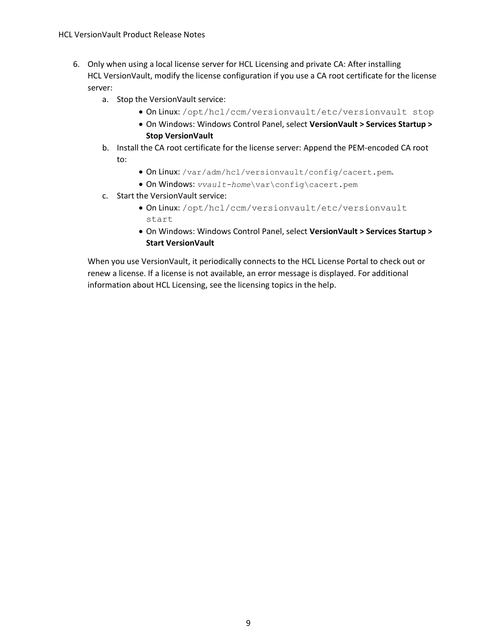- 6. Only when using a local license server for HCL Licensing and private CA: After installing HCL VersionVault, modify the license configuration if you use a CA root certificate for the license server:
	- a. Stop the VersionVault service:
		- On Linux: /opt/hcl/ccm/versionvault/etc/versionvault stop
		- On Windows: Windows Control Panel, select **VersionVault > Services Startup > Stop VersionVault**
	- b. Install the CA root certificate for the license server: Append the PEM-encoded CA root to:
		- On Linux: /var/adm/hcl/versionvault/config/cacert.pem.
		- On Windows: *vvault-home*\var\config\cacert.pem
	- c. Start the VersionVault service:
		- On Linux: /opt/hcl/ccm/versionvault/etc/versionvault start
		- On Windows: Windows Control Panel, select **VersionVault > Services Startup > Start VersionVault**

When you use VersionVault, it periodically connects to the HCL License Portal to check out or renew a license. If a license is not available, an error message is displayed. For additional information about HCL Licensing, see the licensing topics in the help.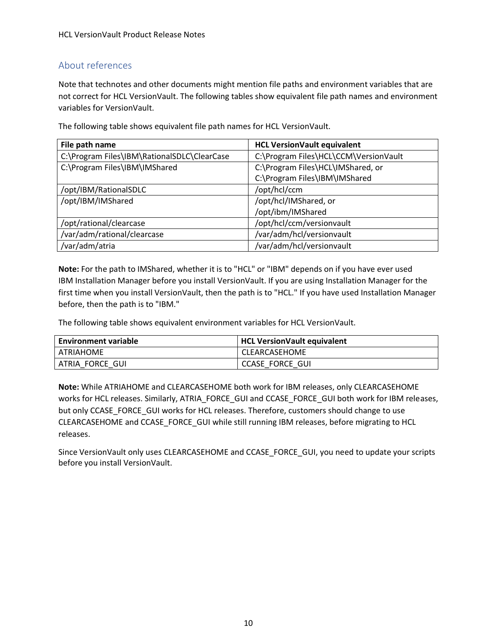# <span id="page-9-0"></span>About references

Note that technotes and other documents might mention file paths and environment variables that are not correct for HCL VersionVault. The following tables show equivalent file path names and environment variables for VersionVault.

| File path name                              | <b>HCL VersionVault equivalent</b>    |  |
|---------------------------------------------|---------------------------------------|--|
| C:\Program Files\IBM\RationalSDLC\ClearCase | C:\Program Files\HCL\CCM\VersionVault |  |
| C:\Program Files\IBM\IMShared               | C:\Program Files\HCL\IMShared, or     |  |
|                                             | C:\Program Files\IBM\IMShared         |  |
| /opt/IBM/RationalSDLC                       | /opt/hcl/ccm                          |  |
| /opt/IBM/IMShared                           | /opt/hcl/IMShared, or                 |  |
|                                             | /opt/ibm/IMShared                     |  |
| /opt/rational/clearcase                     | /opt/hcl/ccm/versionvault             |  |
| /var/adm/rational/clearcase                 | /var/adm/hcl/versionvault             |  |
| /var/adm/atria                              | /var/adm/hcl/versionvault             |  |

The following table shows equivalent file path names for HCL VersionVault.

**Note:** For the path to IMShared, whether it is to "HCL" or "IBM" depends on if you have ever used IBM Installation Manager before you install VersionVault. If you are using Installation Manager for the first time when you install VersionVault, then the path is to "HCL." If you have used Installation Manager before, then the path is to "IBM."

The following table shows equivalent environment variables for HCL VersionVault.

| <b>Environment variable</b> | <b>HCL VersionVault equivalent</b> |
|-----------------------------|------------------------------------|
| ATRIAHOME                   | CLEARCASEHOME                      |
| ATRIA FORCE GUI             | <b>CCASE FORCE GUI</b>             |

**Note:** While ATRIAHOME and CLEARCASEHOME both work for IBM releases, only CLEARCASEHOME works for HCL releases. Similarly, ATRIA\_FORCE\_GUI and CCASE\_FORCE\_GUI both work for IBM releases, but only CCASE\_FORCE\_GUI works for HCL releases. Therefore, customers should change to use CLEARCASEHOME and CCASE\_FORCE\_GUI while still running IBM releases, before migrating to HCL releases.

Since VersionVault only uses CLEARCASEHOME and CCASE\_FORCE\_GUI, you need to update your scripts before you install VersionVault.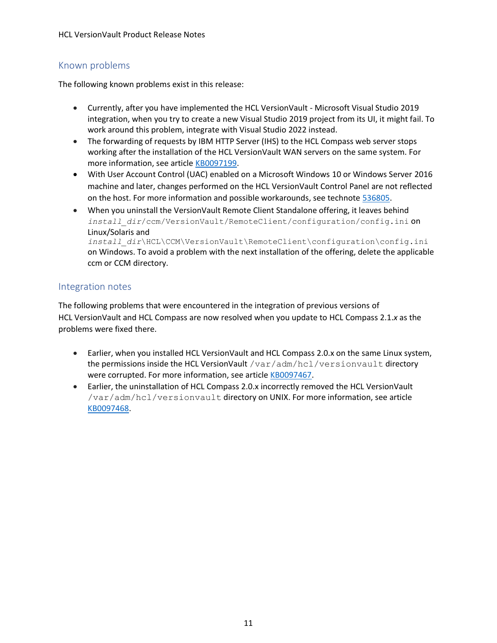## <span id="page-10-0"></span>Known problems

The following known problems exist in this release:

- Currently, after you have implemented the HCL VersionVault Microsoft Visual Studio 2019 integration, when you try to create a new Visual Studio 2019 project from its UI, it might fail. To work around this problem, integrate with Visual Studio 2022 instead.
- The forwarding of requests by IBM HTTP Server (IHS) to the HCL Compass web server stops working after the installation of the HCL VersionVault WAN servers on the same system. For more information, see article [KB0097199.](https://support.hcltechsw.com/csm?id=kb_article&sysparm_article=KB0097199)
- With User Account Control (UAC) enabled on a Microsoft Windows 10 or Windows Server 2016 machine and later, changes performed on the HCL VersionVault Control Panel are not reflected on the host. For more information and possible workarounds, see technote [536805.](https://www.ibm.com/support/pages/node/536805)
- When you uninstall the VersionVault Remote Client Standalone offering, it leaves behind *install\_dir*/ccm/VersionVault/RemoteClient/configuration/config.ini on Linux/Solaris and *install\_dir*\HCL\CCM\VersionVault\RemoteClient\configuration\config.ini on Windows. To avoid a problem with the next installation of the offering, delete the applicable ccm or CCM directory.

#### <span id="page-10-1"></span>Integration notes

The following problems that were encountered in the integration of previous versions of HCL VersionVault and HCL Compass are now resolved when you update to HCL Compass 2.1.*x* as the problems were fixed there.

- Earlier, when you installed HCL VersionVault and HCL Compass 2.0.x on the same Linux system, the permissions inside the HCL VersionVault /var/adm/hcl/versionvault directory were corrupted. For more information, see article [KB0097467.](https://support.hcltechsw.com/csm?id=kb_article&sysparm_article=KB0097467)
- Earlier, the uninstallation of HCL Compass 2.0.x incorrectly removed the HCL VersionVault /var/adm/hcl/versionvault directory on UNIX. For more information, see article [KB0097468.](https://support.hcltechsw.com/csm?id=kb_article&sysparm_article=KB0097468)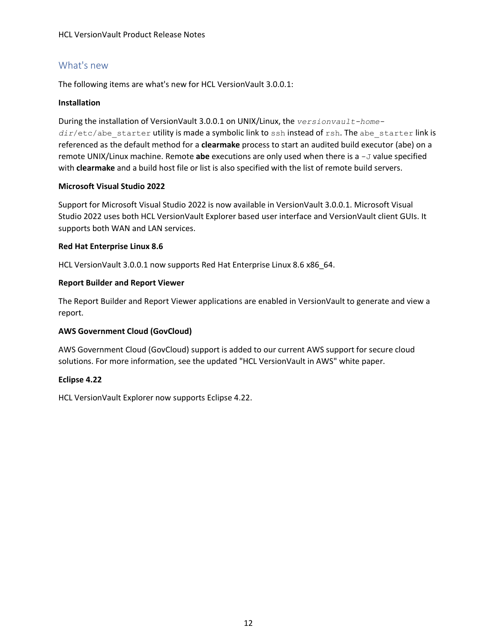## <span id="page-11-0"></span>What's new

The following items are what's new for HCL VersionVault 3.0.0.1:

#### **Installation**

During the installation of VersionVault 3.0.0.1 on UNIX/Linux, the *versionvault-home*dir/etc/abe\_starter utility is made a symbolic link to ssh instead of rsh. The abe\_starter link is referenced as the default method for a **clearmake** process to start an audited build executor (abe) on a remote UNIX/Linux machine. Remote **abe** executions are only used when there is a -J value specified with **clearmake** and a build host file or list is also specified with the list of remote build servers.

#### **Microsoft Visual Studio 2022**

Support for Microsoft Visual Studio 2022 is now available in VersionVault 3.0.0.1. Microsoft Visual Studio 2022 uses both HCL VersionVault Explorer based user interface and VersionVault client GUIs. It supports both WAN and LAN services.

#### **Red Hat Enterprise Linux 8.6**

HCL VersionVault 3.0.0.1 now supports Red Hat Enterprise Linux 8.6 x86\_64.

#### **Report Builder and Report Viewer**

The Report Builder and Report Viewer applications are enabled in VersionVault to generate and view a report.

#### **AWS Government Cloud (GovCloud)**

AWS Government Cloud (GovCloud) support is added to our current AWS support for secure cloud solutions. For more information, see the updated "HCL VersionVault in AWS" white paper.

#### **Eclipse 4.22**

HCL VersionVault Explorer now supports Eclipse 4.22.